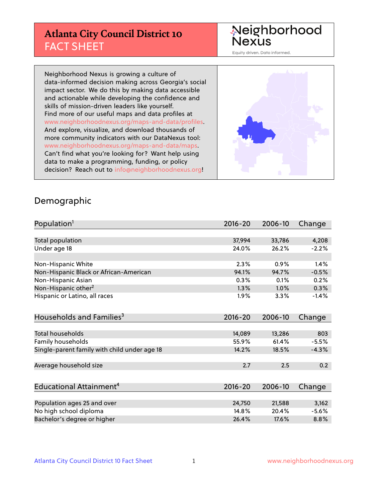## **Atlanta City Council District 10** FACT SHEET

#### Neighborhood Nexus

Equity driven. Data informed.

Neighborhood Nexus is growing a culture of data-informed decision making across Georgia's social impact sector. We do this by making data accessible and actionable while developing the confidence and skills of mission-driven leaders like yourself. Find more of our useful maps and data profiles at www.neighborhoodnexus.org/maps-and-data/profiles. And explore, visualize, and download thousands of more community indicators with our DataNexus tool: www.neighborhoodnexus.org/maps-and-data/maps. Can't find what you're looking for? Want help using data to make a programming, funding, or policy decision? Reach out to [info@neighborhoodnexus.org!](mailto:info@neighborhoodnexus.org)



#### Demographic

| Population <sup>1</sup>                      | 2016-20     | 2006-10 | Change  |
|----------------------------------------------|-------------|---------|---------|
|                                              |             |         |         |
| Total population                             | 37,994      | 33,786  | 4,208   |
| Under age 18                                 | 24.0%       | 26.2%   | $-2.2%$ |
|                                              |             |         |         |
| Non-Hispanic White                           | 2.3%        | 0.9%    | 1.4%    |
| Non-Hispanic Black or African-American       | 94.1%       | 94.7%   | $-0.5%$ |
| Non-Hispanic Asian                           | 0.3%        | 0.1%    | 0.2%    |
| Non-Hispanic other <sup>2</sup>              | 1.3%        | $1.0\%$ | 0.3%    |
| Hispanic or Latino, all races                | $1.9\%$     | 3.3%    | $-1.4%$ |
|                                              |             |         |         |
| Households and Families <sup>3</sup>         | $2016 - 20$ | 2006-10 | Change  |
|                                              |             |         |         |
| <b>Total households</b>                      | 14,089      | 13,286  | 803     |
| Family households                            | 55.9%       | 61.4%   | $-5.5%$ |
| Single-parent family with child under age 18 | 14.2%       | 18.5%   | $-4.3%$ |
|                                              |             |         |         |
| Average household size                       | 2.7         | 2.5     | 0.2     |
|                                              |             |         |         |
| Educational Attainment <sup>4</sup>          | 2016-20     | 2006-10 | Change  |
|                                              |             |         |         |
| Population ages 25 and over                  | 24,750      | 21,588  | 3,162   |
| No high school diploma                       | 14.8%       | 20.4%   | $-5.6%$ |
| Bachelor's degree or higher                  | 26.4%       | 17.6%   | 8.8%    |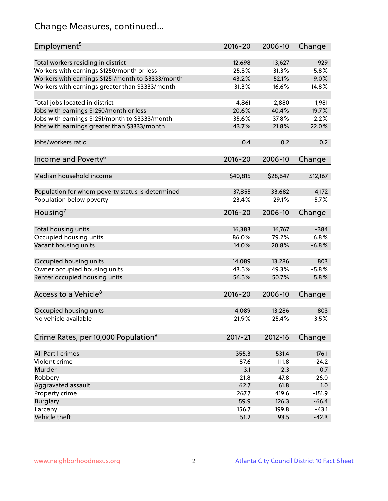# Change Measures, continued...

| Employment <sup>5</sup>                            | $2016 - 20$ | 2006-10  | Change   |
|----------------------------------------------------|-------------|----------|----------|
|                                                    |             |          |          |
| Total workers residing in district                 | 12,698      | 13,627   | $-929$   |
| Workers with earnings \$1250/month or less         | 25.5%       | 31.3%    | $-5.8%$  |
| Workers with earnings \$1251/month to \$3333/month | 43.2%       | 52.1%    | $-9.0%$  |
| Workers with earnings greater than \$3333/month    | 31.3%       | 16.6%    | 14.8%    |
| Total jobs located in district                     | 4,861       | 2,880    | 1,981    |
| Jobs with earnings \$1250/month or less            | 20.6%       | 40.4%    | $-19.7%$ |
| Jobs with earnings \$1251/month to \$3333/month    | 35.6%       | 37.8%    | $-2.2%$  |
| Jobs with earnings greater than \$3333/month       | 43.7%       | 21.8%    | 22.0%    |
|                                                    |             |          |          |
| Jobs/workers ratio                                 | 0.4         | 0.2      | 0.2      |
|                                                    |             |          |          |
| Income and Poverty <sup>6</sup>                    | 2016-20     | 2006-10  | Change   |
| Median household income                            | \$40,815    | \$28,647 | \$12,167 |
|                                                    |             |          |          |
| Population for whom poverty status is determined   | 37,855      | 33,682   | 4,172    |
| Population below poverty                           | 23.4%       | 29.1%    | $-5.7%$  |
|                                                    |             |          |          |
| Housing <sup>7</sup>                               | 2016-20     | 2006-10  | Change   |
|                                                    |             |          |          |
| Total housing units                                | 16,383      | 16,767   | $-384$   |
| Occupied housing units                             | 86.0%       | 79.2%    | 6.8%     |
| Vacant housing units                               | 14.0%       | 20.8%    | $-6.8%$  |
| Occupied housing units                             | 14,089      | 13,286   | 803      |
| Owner occupied housing units                       | 43.5%       | 49.3%    | $-5.8%$  |
| Renter occupied housing units                      | 56.5%       | 50.7%    | 5.8%     |
|                                                    |             |          |          |
| Access to a Vehicle <sup>8</sup>                   | $2016 - 20$ | 2006-10  | Change   |
|                                                    |             |          |          |
| Occupied housing units                             | 14,089      | 13,286   | 803      |
| No vehicle available                               | 21.9%       | 25.4%    | $-3.5%$  |
|                                                    |             |          |          |
| Crime Rates, per 10,000 Population <sup>9</sup>    | 2017-21     | 2012-16  | Change   |
|                                                    |             |          |          |
| All Part I crimes                                  | 355.3       | 531.4    | $-176.1$ |
| Violent crime                                      | 87.6        | 111.8    | $-24.2$  |
| Murder                                             | 3.1         | 2.3      | 0.7      |
| Robbery                                            | 21.8        | 47.8     | $-26.0$  |
| Aggravated assault                                 | 62.7        | 61.8     | 1.0      |
| Property crime                                     | 267.7       | 419.6    | $-151.9$ |
| <b>Burglary</b>                                    | 59.9        | 126.3    | $-66.4$  |
| Larceny                                            | 156.7       | 199.8    | $-43.1$  |
| Vehicle theft                                      | 51.2        | 93.5     | $-42.3$  |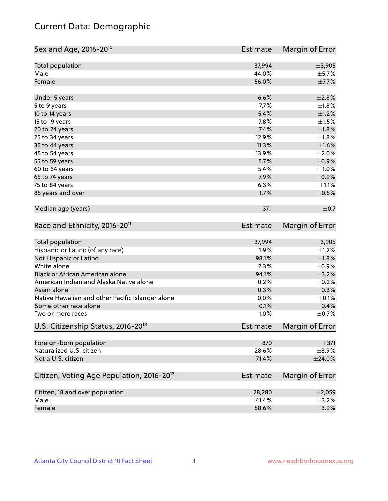## Current Data: Demographic

| Sex and Age, 2016-20 <sup>10</sup>                    | <b>Estimate</b> | Margin of Error |
|-------------------------------------------------------|-----------------|-----------------|
| Total population                                      | 37,994          | ±3,905          |
| Male                                                  | 44.0%           | $\pm$ 5.7%      |
| Female                                                | 56.0%           | $\pm$ 7.7%      |
| Under 5 years                                         | 6.6%            | ±2.8%           |
| 5 to 9 years                                          | 7.7%            | $\pm1.8\%$      |
| 10 to 14 years                                        | 5.4%            | $\pm 1.2\%$     |
| 15 to 19 years                                        | 7.8%            | $\pm 1.5\%$     |
| 20 to 24 years                                        | 7.4%            | $\pm 1.8\%$     |
| 25 to 34 years                                        | 12.9%           | ±1.8%           |
| 35 to 44 years                                        | 11.3%           | $\pm1.6\%$      |
| 45 to 54 years                                        | 13.9%           | $\pm 2.0\%$     |
| 55 to 59 years                                        | 5.7%            | $\pm$ 0.9%      |
| 60 to 64 years                                        | 5.4%            | ±1.0%           |
| 65 to 74 years                                        | 7.9%            | $\pm$ 0.9%      |
| 75 to 84 years                                        | 6.3%            | $\pm 1.1\%$     |
| 85 years and over                                     | 1.7%            | $\pm$ 0.5%      |
| Median age (years)                                    | 37.1            | $\pm$ 0.7       |
| Race and Ethnicity, 2016-20 <sup>11</sup>             | Estimate        | Margin of Error |
| <b>Total population</b>                               | 37,994          | ±3,905          |
| Hispanic or Latino (of any race)                      | 1.9%            | $\pm$ 1.2%      |
| Not Hispanic or Latino                                | 98.1%           | $\pm1.8\%$      |
| White alone                                           | 2.3%            | $\pm$ 0.9%      |
| Black or African American alone                       | 94.1%           | $\pm$ 3.2%      |
| American Indian and Alaska Native alone               | 0.2%            | $\pm$ 0.2%      |
| Asian alone                                           | 0.3%            | $\pm$ 0.3%      |
| Native Hawaiian and other Pacific Islander alone      | 0.0%            | $\pm$ 0.1%      |
| Some other race alone                                 | 0.1%            | $\pm$ 0.4%      |
| Two or more races                                     | 1.0%            | $\pm$ 0.7%      |
| U.S. Citizenship Status, 2016-20 <sup>12</sup>        | Estimate        | Margin of Error |
| Foreign-born population                               | 870             | $\pm$ 371       |
| Naturalized U.S. citizen                              | 28.6%           | $\pm$ 8.9%      |
| Not a U.S. citizen                                    | 71.4%           | $\pm$ 24.0%     |
| Citizen, Voting Age Population, 2016-20 <sup>13</sup> | <b>Estimate</b> | Margin of Error |
|                                                       |                 |                 |
| Citizen, 18 and over population                       | 28,280          | $\pm 2,059$     |
| Male<br>Female                                        | 41.4%           | $\pm$ 3.2%      |
|                                                       | 58.6%           | $\pm$ 3.9%      |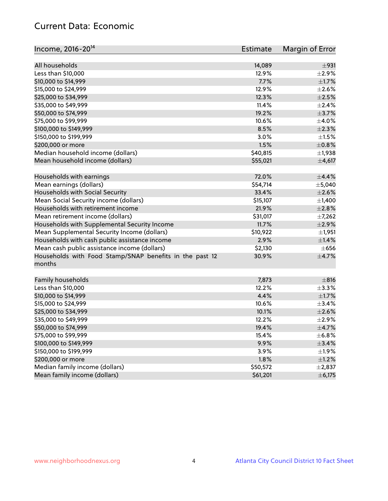## Current Data: Economic

| Income, 2016-20 <sup>14</sup>                                     | Estimate | Margin of Error |
|-------------------------------------------------------------------|----------|-----------------|
| All households                                                    | 14,089   | ±931            |
| Less than \$10,000                                                | 12.9%    | $\pm 2.9\%$     |
| \$10,000 to \$14,999                                              | 7.7%     | $\pm 1.7\%$     |
| \$15,000 to \$24,999                                              | 12.9%    | $\pm 2.6\%$     |
| \$25,000 to \$34,999                                              | 12.3%    | $\pm 2.5\%$     |
| \$35,000 to \$49,999                                              | 11.4%    | $\pm 2.4\%$     |
| \$50,000 to \$74,999                                              | 19.2%    | $\pm$ 3.7%      |
| \$75,000 to \$99,999                                              | 10.6%    | $\pm$ 4.0%      |
| \$100,000 to \$149,999                                            | 8.5%     | $\pm 2.3\%$     |
| \$150,000 to \$199,999                                            | 3.0%     | $\pm 1.5\%$     |
| \$200,000 or more                                                 | 1.5%     | $\pm$ 0.8%      |
| Median household income (dollars)                                 | \$40,815 | $\pm$ 1,938     |
| Mean household income (dollars)                                   | \$55,021 | ±4,617          |
|                                                                   |          |                 |
| Households with earnings                                          | 72.0%    | ±4.4%           |
| Mean earnings (dollars)                                           | \$54,714 | ±5,040          |
| Households with Social Security                                   | 33.4%    | $\pm 2.6\%$     |
| Mean Social Security income (dollars)                             | \$15,107 | $\pm$ 1,400     |
| Households with retirement income                                 | 21.9%    | ±2.8%           |
| Mean retirement income (dollars)                                  | \$31,017 | $\pm$ 7,262     |
| Households with Supplemental Security Income                      | 11.7%    | $\pm 2.9\%$     |
| Mean Supplemental Security Income (dollars)                       | \$10,922 | ±1,951          |
| Households with cash public assistance income                     | 2.9%     | $\pm$ 1.4%      |
| Mean cash public assistance income (dollars)                      | \$2,130  | $\pm$ 656       |
| Households with Food Stamp/SNAP benefits in the past 12<br>months | 30.9%    | $\pm$ 4.7%      |
| Family households                                                 | 7,873    | $\pm$ 816       |
| Less than \$10,000                                                | 12.2%    | $\pm$ 3.3%      |
| \$10,000 to \$14,999                                              | 4.4%     | $\pm 1.7\%$     |
| \$15,000 to \$24,999                                              | 10.6%    | ±3.4%           |
| \$25,000 to \$34,999                                              | 10.1%    | $\pm 2.6\%$     |
| \$35,000 to \$49,999                                              | 12.2%    | $\pm 2.9\%$     |
| \$50,000 to \$74,999                                              | 19.4%    | $\pm$ 4.7%      |
| \$75,000 to \$99,999                                              | 15.4%    | $\pm$ 6.8%      |
| \$100,000 to \$149,999                                            | 9.9%     | ±3.4%           |
| \$150,000 to \$199,999                                            | 3.9%     | ±1.9%           |
| \$200,000 or more                                                 | 1.8%     | $\pm 1.2\%$     |
| Median family income (dollars)                                    | \$50,572 | $\pm 2,837$     |
| Mean family income (dollars)                                      | \$61,201 | ± 6,175         |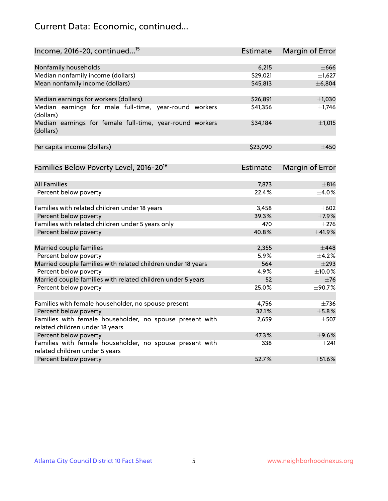## Current Data: Economic, continued...

| Income, 2016-20, continued <sup>15</sup>                                                    | <b>Estimate</b> | Margin of Error |
|---------------------------------------------------------------------------------------------|-----------------|-----------------|
|                                                                                             |                 |                 |
| Nonfamily households                                                                        | 6,215           | $\pm$ 666       |
| Median nonfamily income (dollars)                                                           | \$29,021        | $\pm$ 1,627     |
| Mean nonfamily income (dollars)                                                             | \$45,813        | ± 6,804         |
| Median earnings for workers (dollars)                                                       | \$26,891        | $\pm$ 1,030     |
| Median earnings for male full-time, year-round workers<br>(dollars)                         | \$41,356        | $\pm$ 1,746     |
| Median earnings for female full-time, year-round workers<br>(dollars)                       | \$34,184        | $\pm$ 1,015     |
| Per capita income (dollars)                                                                 | \$23,090        | $\pm 450$       |
| Families Below Poverty Level, 2016-20 <sup>16</sup>                                         | Estimate        | Margin of Error |
|                                                                                             |                 |                 |
| <b>All Families</b>                                                                         | 7,873           | $\pm$ 816       |
| Percent below poverty                                                                       | 22.4%           | $+4.0%$         |
| Families with related children under 18 years                                               | 3,458           | $\pm 602$       |
| Percent below poverty                                                                       | 39.3%           | $\pm$ 7.9%      |
| Families with related children under 5 years only                                           | 470             | $\pm 276$       |
| Percent below poverty                                                                       | 40.8%           | ±41.9%          |
| Married couple families                                                                     | 2,355           | $\pm$ 448       |
| Percent below poverty                                                                       | 5.9%            | ±4.2%           |
| Married couple families with related children under 18 years                                | 564             | $\pm 293$       |
| Percent below poverty                                                                       | 4.9%            | $\pm$ 10.0%     |
| Married couple families with related children under 5 years                                 | 52              | $\pm 76$        |
| Percent below poverty                                                                       | 25.0%           | ±90.7%          |
|                                                                                             |                 |                 |
| Families with female householder, no spouse present                                         | 4,756           | $\pm 736$       |
| Percent below poverty                                                                       | 32.1%           | ±5.8%           |
| Families with female householder, no spouse present with<br>related children under 18 years | 2,659           | $\pm$ 507       |
| Percent below poverty                                                                       | 47.3%           | $\pm$ 9.6%      |
| Families with female householder, no spouse present with                                    | 338             | $\pm 241$       |
| related children under 5 years                                                              |                 |                 |
| Percent below poverty                                                                       | 52.7%           | ±51.6%          |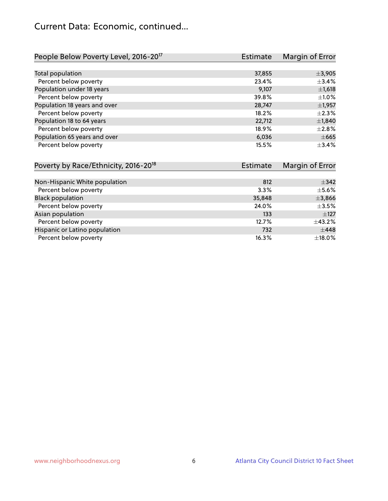## Current Data: Economic, continued...

| People Below Poverty Level, 2016-20 <sup>17</sup> | <b>Estimate</b> | Margin of Error |
|---------------------------------------------------|-----------------|-----------------|
|                                                   |                 |                 |
| Total population                                  | 37,855          | ±3,905          |
| Percent below poverty                             | 23.4%           | ±3.4%           |
| Population under 18 years                         | 9,107           | ±1,618          |
| Percent below poverty                             | 39.8%           | $\pm 1.0\%$     |
| Population 18 years and over                      | 28,747          | $\pm$ 1,957     |
| Percent below poverty                             | 18.2%           | $\pm 2.3\%$     |
| Population 18 to 64 years                         | 22,712          | ±1,840          |
| Percent below poverty                             | 18.9%           | $\pm 2.8\%$     |
| Population 65 years and over                      | 6,036           | $\pm 665$       |
| Percent below poverty                             | 15.5%           | ±3.4%           |

| Poverty by Race/Ethnicity, 2016-20 <sup>18</sup> | Estimate | Margin of Error |
|--------------------------------------------------|----------|-----------------|
|                                                  |          |                 |
| Non-Hispanic White population                    | 812      | $\pm$ 342       |
| Percent below poverty                            | 3.3%     | $\pm$ 5.6%      |
| <b>Black population</b>                          | 35,848   | $\pm$ 3,866     |
| Percent below poverty                            | 24.0%    | $\pm$ 3.5%      |
| Asian population                                 | 133      | $\pm$ 127       |
| Percent below poverty                            | 12.7%    | $\pm$ 43.2%     |
| Hispanic or Latino population                    | 732      | $\pm$ 448       |
| Percent below poverty                            | 16.3%    | $\pm$ 18.0%     |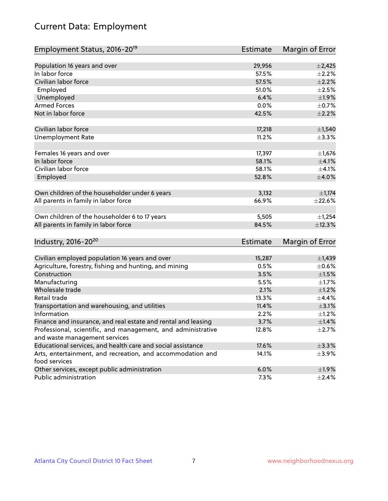# Current Data: Employment

| Employment Status, 2016-20 <sup>19</sup>                      | Estimate        | Margin of Error |
|---------------------------------------------------------------|-----------------|-----------------|
|                                                               |                 |                 |
| Population 16 years and over                                  | 29,956          | $\pm$ 2,425     |
| In labor force                                                | 57.5%           | $\pm 2.2\%$     |
| Civilian labor force                                          | 57.5%           | $\pm 2.2\%$     |
| Employed                                                      | 51.0%           | $\pm 2.5\%$     |
| Unemployed                                                    | 6.4%            | ±1.9%           |
| <b>Armed Forces</b>                                           | 0.0%            | $\pm$ 0.7%      |
| Not in labor force                                            | 42.5%           | $\pm 2.2\%$     |
| Civilian labor force                                          | 17,218          | $\pm$ 1,540     |
| <b>Unemployment Rate</b>                                      | 11.2%           | $\pm$ 3.3%      |
| Females 16 years and over                                     | 17,397          | $\pm$ 1,676     |
| In labor force                                                | 58.1%           | $\pm 4.1\%$     |
| Civilian labor force                                          | 58.1%           | $\pm$ 4.1%      |
| Employed                                                      | 52.8%           | $\pm 4.0\%$     |
| Own children of the householder under 6 years                 | 3,132           | $\pm$ 1,174     |
| All parents in family in labor force                          | 66.9%           | ±22.6%          |
|                                                               |                 |                 |
| Own children of the householder 6 to 17 years                 | 5,505           | $\pm$ 1,254     |
| All parents in family in labor force                          | 84.5%           | ±12.3%          |
| Industry, 2016-20 <sup>20</sup>                               | <b>Estimate</b> |                 |
|                                                               |                 | Margin of Error |
| Civilian employed population 16 years and over                | 15,287          | $\pm$ 1,439     |
| Agriculture, forestry, fishing and hunting, and mining        | 0.5%            | $\pm$ 0.6%      |
| Construction                                                  | 3.5%            | $\pm 1.5\%$     |
| Manufacturing                                                 | 5.5%            | $\pm 1.7\%$     |
| Wholesale trade                                               | 2.1%            | $\pm 1.2\%$     |
| Retail trade                                                  | 13.3%           | ±4.4%           |
| Transportation and warehousing, and utilities                 | 11.4%           | $\pm$ 3.1%      |
| Information                                                   | 2.2%            | $\pm 1.2\%$     |
| Finance and insurance, and real estate and rental and leasing | 3.7%            | ±1.4%           |
| Professional, scientific, and management, and administrative  | 12.8%           | $\pm$ 2.7%      |
| and waste management services                                 |                 |                 |
| Educational services, and health care and social assistance   | 17.6%           | ±3.3%           |
| Arts, entertainment, and recreation, and accommodation and    | 14.1%           | $\pm$ 3.9%      |
| food services                                                 |                 |                 |
| Other services, except public administration                  | 6.0%            | ±1.9%           |
| Public administration                                         | 7.3%            | $\pm$ 2.4%      |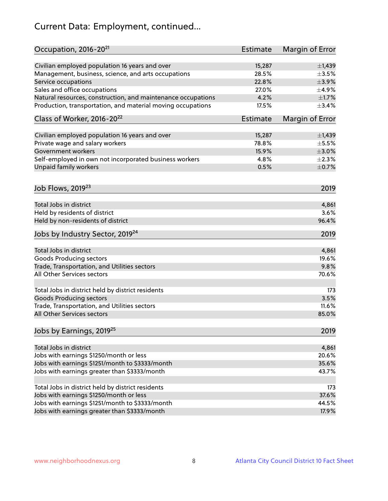# Current Data: Employment, continued...

| Occupation, 2016-20 <sup>21</sup>                            | <b>Estimate</b> | Margin of Error |
|--------------------------------------------------------------|-----------------|-----------------|
| Civilian employed population 16 years and over               | 15,287          | $\pm$ 1,439     |
| Management, business, science, and arts occupations          | 28.5%           | $\pm 3.5\%$     |
| Service occupations                                          | 22.8%           | $\pm$ 3.9%      |
| Sales and office occupations                                 | 27.0%           | $\pm$ 4.9%      |
| Natural resources, construction, and maintenance occupations | 4.2%            | $\pm1.7\%$      |
| Production, transportation, and material moving occupations  | 17.5%           | ±3.4%           |
| Class of Worker, 2016-20 <sup>22</sup>                       | Estimate        | Margin of Error |
|                                                              |                 |                 |
| Civilian employed population 16 years and over               | 15,287          | $\pm$ 1,439     |
| Private wage and salary workers                              | 78.8%           | $\pm$ 5.5%      |
| Government workers                                           | 15.9%           | $\pm 3.0\%$     |
| Self-employed in own not incorporated business workers       | 4.8%            | $\pm 2.3\%$     |
| Unpaid family workers                                        | 0.5%            | $\pm$ 0.7%      |
| Job Flows, 2019 <sup>23</sup>                                |                 | 2019            |
| Total Jobs in district                                       |                 | 4,861           |
| Held by residents of district                                |                 | 3.6%            |
| Held by non-residents of district                            |                 | 96.4%           |
|                                                              |                 |                 |
| Jobs by Industry Sector, 2019 <sup>24</sup>                  |                 | 2019            |
| Total Jobs in district                                       |                 | 4,861           |
| <b>Goods Producing sectors</b>                               |                 | 19.6%           |
| Trade, Transportation, and Utilities sectors                 |                 | 9.8%            |
| All Other Services sectors                                   |                 | 70.6%           |
| Total Jobs in district held by district residents            |                 | 173             |
| <b>Goods Producing sectors</b>                               |                 | 3.5%            |
| Trade, Transportation, and Utilities sectors                 |                 | 11.6%           |
| All Other Services sectors                                   |                 | 85.0%           |
| Jobs by Earnings, 2019 <sup>25</sup>                         |                 | 2019            |
|                                                              |                 |                 |
| Total Jobs in district                                       |                 | 4,861           |
| Jobs with earnings \$1250/month or less                      |                 | 20.6%           |
| Jobs with earnings \$1251/month to \$3333/month              |                 | 35.6%           |
| Jobs with earnings greater than \$3333/month                 |                 | 43.7%           |
| Total Jobs in district held by district residents            |                 | 173             |
| Jobs with earnings \$1250/month or less                      |                 | 37.6%           |
| Jobs with earnings \$1251/month to \$3333/month              |                 | 44.5%           |
| Jobs with earnings greater than \$3333/month                 |                 | 17.9%           |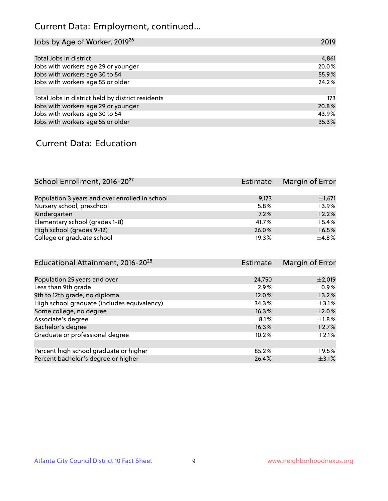# Current Data: Employment, continued...

| Jobs by Age of Worker, 2019 <sup>26</sup>         | 2019  |
|---------------------------------------------------|-------|
|                                                   |       |
| Total Jobs in district                            | 4,861 |
| Jobs with workers age 29 or younger               | 20.0% |
| Jobs with workers age 30 to 54                    | 55.9% |
| Jobs with workers age 55 or older                 | 24.2% |
|                                                   |       |
| Total Jobs in district held by district residents | 173   |
| Jobs with workers age 29 or younger               | 20.8% |
| Jobs with workers age 30 to 54                    | 43.9% |
| Jobs with workers age 55 or older                 | 35.3% |

## Current Data: Education

| School Enrollment, 2016-20 <sup>27</sup>       | Estimate | Margin of Error |
|------------------------------------------------|----------|-----------------|
|                                                |          |                 |
| Population 3 years and over enrolled in school | 9,173    | $\pm$ 1,671     |
| Nursery school, preschool                      | 5.8%     | $\pm$ 3.9%      |
| Kindergarten                                   | 7.2%     | $+2.2%$         |
| Elementary school (grades 1-8)                 | 41.7%    | $\pm$ 5.4%      |
| High school (grades 9-12)                      | 26.0%    | $\pm$ 6.5%      |
| College or graduate school                     | 19.3%    | $\pm 4.8\%$     |

| Educational Attainment, 2016-20 <sup>28</sup> | <b>Estimate</b> | Margin of Error |
|-----------------------------------------------|-----------------|-----------------|
|                                               |                 |                 |
| Population 25 years and over                  | 24,750          | $\pm 2,019$     |
| Less than 9th grade                           | 2.9%            | $\pm$ 0.9%      |
| 9th to 12th grade, no diploma                 | 12.0%           | $\pm$ 3.2%      |
| High school graduate (includes equivalency)   | 34.3%           | $\pm$ 3.1%      |
| Some college, no degree                       | 16.3%           | $\pm 2.0\%$     |
| Associate's degree                            | 8.1%            | $\pm 1.8\%$     |
| Bachelor's degree                             | 16.3%           | $\pm 2.7\%$     |
| Graduate or professional degree               | 10.2%           | $\pm 2.1\%$     |
|                                               |                 |                 |
| Percent high school graduate or higher        | 85.2%           | $\pm$ 9.5%      |
| Percent bachelor's degree or higher           | 26.4%           | $\pm$ 3.1%      |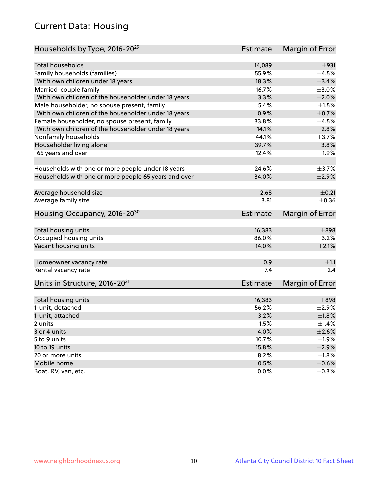## Current Data: Housing

| Households by Type, 2016-20 <sup>29</sup>            | <b>Estimate</b> | Margin of Error |
|------------------------------------------------------|-----------------|-----------------|
|                                                      |                 |                 |
| <b>Total households</b>                              | 14,089          | ±931            |
| Family households (families)                         | 55.9%           | $\pm$ 4.5%      |
| With own children under 18 years                     | 18.3%           | $\pm$ 3.4%      |
| Married-couple family                                | 16.7%           | $\pm 3.0\%$     |
| With own children of the householder under 18 years  | 3.3%            | $\pm 2.0\%$     |
| Male householder, no spouse present, family          | 5.4%            | $\pm 1.5\%$     |
| With own children of the householder under 18 years  | 0.9%            | $\pm$ 0.7%      |
| Female householder, no spouse present, family        | 33.8%           | $\pm 4.5\%$     |
| With own children of the householder under 18 years  | 14.1%           | $\pm 2.8\%$     |
| Nonfamily households                                 | 44.1%           | $\pm$ 3.7%      |
| Householder living alone                             | 39.7%           | ±3.8%           |
| 65 years and over                                    | 12.4%           | ±1.9%           |
|                                                      |                 |                 |
| Households with one or more people under 18 years    | 24.6%           | $\pm$ 3.7%      |
| Households with one or more people 65 years and over | 34.0%           | $\pm 2.9\%$     |
|                                                      |                 |                 |
| Average household size                               | 2.68            | $\pm$ 0.21      |
| Average family size                                  | 3.81            | $\pm$ 0.36      |
| Housing Occupancy, 2016-20 <sup>30</sup>             | <b>Estimate</b> | Margin of Error |
|                                                      |                 |                 |
| Total housing units                                  | 16,383          | $\pm$ 898       |
| Occupied housing units                               | 86.0%           | $\pm$ 3.2%      |
| Vacant housing units                                 | 14.0%           | $\pm 2.1\%$     |
| Homeowner vacancy rate                               | 0.9             | $\pm 1.1$       |
| Rental vacancy rate                                  | 7.4             | $\pm 2.4$       |
| Units in Structure, 2016-20 <sup>31</sup>            | <b>Estimate</b> | Margin of Error |
|                                                      |                 |                 |
| Total housing units                                  | 16,383          | $\pm$ 898       |
| 1-unit, detached                                     | 56.2%           | $\pm 2.9\%$     |
| 1-unit, attached                                     | 3.2%            | $\pm1.8\%$      |
| 2 units                                              | 1.5%            | $\pm$ 1.4%      |
| 3 or 4 units                                         | 4.0%            | $\pm 2.6\%$     |
| 5 to 9 units                                         | 10.7%           | $\pm 1.9\%$     |
| 10 to 19 units                                       | 15.8%           | $\pm 2.9\%$     |
| 20 or more units                                     | 8.2%            | $\pm 1.8\%$     |
| Mobile home                                          | 0.5%            | $\pm$ 0.6%      |
| Boat, RV, van, etc.                                  | $0.0\%$         | $\pm$ 0.3%      |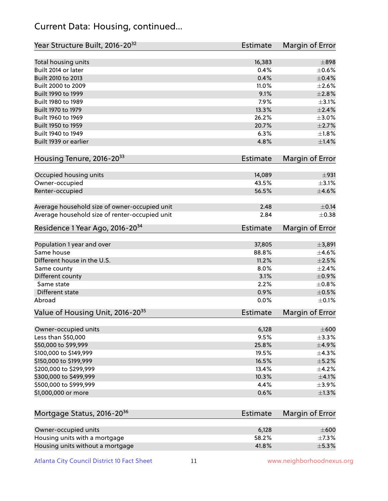## Current Data: Housing, continued...

| Year Structure Built, 2016-20 <sup>32</sup>    | Estimate        | <b>Margin of Error</b> |
|------------------------------------------------|-----------------|------------------------|
| Total housing units                            | 16,383          | $\pm$ 898              |
| Built 2014 or later                            | 0.4%            | $\pm$ 0.6%             |
| Built 2010 to 2013                             | 0.4%            | $\pm$ 0.4%             |
| Built 2000 to 2009                             | 11.0%           | $\pm 2.6\%$            |
| Built 1990 to 1999                             | 9.1%            | $\pm 2.8\%$            |
| Built 1980 to 1989                             | 7.9%            | $\pm$ 3.1%             |
| Built 1970 to 1979                             | 13.3%           | $\pm 2.4\%$            |
| Built 1960 to 1969                             | 26.2%           | $\pm$ 3.0%             |
| Built 1950 to 1959                             | 20.7%           | $\pm 2.7\%$            |
| Built 1940 to 1949                             | 6.3%            | $\pm1.8\%$             |
| Built 1939 or earlier                          | 4.8%            | $\pm$ 1.4%             |
| Housing Tenure, 2016-2033                      | Estimate        | Margin of Error        |
| Occupied housing units                         | 14,089          | ±931                   |
| Owner-occupied                                 | 43.5%           | $\pm$ 3.1%             |
| Renter-occupied                                | 56.5%           | $\pm 4.6\%$            |
| Average household size of owner-occupied unit  | 2.48            | $\pm$ 0.14             |
| Average household size of renter-occupied unit | 2.84            | $\pm$ 0.38             |
| Residence 1 Year Ago, 2016-20 <sup>34</sup>    | <b>Estimate</b> | <b>Margin of Error</b> |
| Population 1 year and over                     | 37,805          | ±3,891                 |
| Same house                                     | 88.8%           | $\pm$ 4.6%             |
| Different house in the U.S.                    | 11.2%           | $\pm 2.5\%$            |
| Same county                                    | 8.0%            | $\pm 2.4\%$            |
| Different county                               | 3.1%            | $\pm$ 0.9%             |
| Same state                                     | 2.2%            | $\pm$ 0.8%             |
| Different state                                | 0.9%            | $\pm$ 0.5%             |
| Abroad                                         | 0.0%            | $\pm$ 0.1%             |
| Value of Housing Unit, 2016-20 <sup>35</sup>   | <b>Estimate</b> | Margin of Error        |
| Owner-occupied units                           | 6,128           | $\pm 600$              |
| Less than \$50,000                             | 9.5%            | ±3.3%                  |
| \$50,000 to \$99,999                           | 25.8%           | $\pm$ 4.9%             |
| \$100,000 to \$149,999                         | 19.5%           | ±4.3%                  |
| \$150,000 to \$199,999                         | 16.5%           | $\pm$ 5.2%             |
| \$200,000 to \$299,999                         | 13.4%           | ±4.2%                  |
| \$300,000 to \$499,999                         | 10.3%           | $\pm$ 4.1%             |
| \$500,000 to \$999,999                         | 4.4%            | $\pm$ 3.9%             |
| \$1,000,000 or more                            | 0.6%            | ±1.3%                  |
| Mortgage Status, 2016-20 <sup>36</sup>         | <b>Estimate</b> | Margin of Error        |
| Owner-occupied units                           | 6,128           | $\pm 600$              |
| Housing units with a mortgage                  | 58.2%           | ±7.3%                  |
|                                                |                 |                        |

Housing units without a mortgage  $\pm 5.3\%$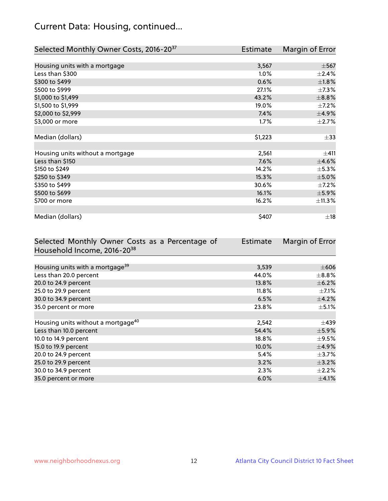## Current Data: Housing, continued...

| Selected Monthly Owner Costs, 2016-20 <sup>37</sup> | Estimate | Margin of Error |
|-----------------------------------------------------|----------|-----------------|
|                                                     |          |                 |
| Housing units with a mortgage                       | 3,567    | $\pm$ 567       |
| Less than \$300                                     | 1.0%     | $\pm 2.4\%$     |
| \$300 to \$499                                      | 0.6%     | $\pm1.8\%$      |
| \$500 to \$999                                      | 27.1%    | $\pm$ 7.3%      |
| \$1,000 to \$1,499                                  | 43.2%    | ±8.8%           |
| \$1,500 to \$1,999                                  | 19.0%    | $\pm$ 7.2%      |
| \$2,000 to \$2,999                                  | 7.4%     | ±4.9%           |
| \$3,000 or more                                     | 1.7%     | $\pm 2.7\%$     |
|                                                     |          |                 |
| Median (dollars)                                    | \$1,223  | $\pm$ 33        |
|                                                     |          |                 |
| Housing units without a mortgage                    | 2,561    | ±411            |
| Less than \$150                                     | 7.6%     | $\pm$ 4.6%      |
| \$150 to \$249                                      | 14.2%    | $\pm$ 5.3%      |
| \$250 to \$349                                      | 15.3%    | $\pm$ 5.0%      |
| \$350 to \$499                                      | 30.6%    | $\pm$ 7.2%      |
| \$500 to \$699                                      | 16.1%    | $\pm$ 5.9%      |
| \$700 or more                                       | 16.2%    | ±11.3%          |
|                                                     |          |                 |
| Median (dollars)                                    | \$407    | $\pm$ 18        |

| Selected Monthly Owner Costs as a Percentage of | <b>Estimate</b> | Margin of Error |
|-------------------------------------------------|-----------------|-----------------|
| Household Income, 2016-20 <sup>38</sup>         |                 |                 |
|                                                 |                 |                 |
| Housing units with a mortgage <sup>39</sup>     | 3,539           | $\pm 606$       |
| Less than 20.0 percent                          | 44.0%           | $\pm$ 8.8%      |
| 20.0 to 24.9 percent                            | 13.8%           | $\pm$ 6.2%      |
| 25.0 to 29.9 percent                            | $11.8\%$        | $\pm$ 7.1%      |
| 30.0 to 34.9 percent                            | 6.5%            | $\pm$ 4.2%      |
| 35.0 percent or more                            | 23.8%           | $\pm$ 5.1%      |
|                                                 |                 |                 |
| Housing units without a mortgage <sup>40</sup>  | 2,542           | $\pm$ 439       |
| Less than 10.0 percent                          | 54.4%           | $\pm$ 5.9%      |
| 10.0 to 14.9 percent                            | 18.8%           | $\pm$ 9.5%      |
| 15.0 to 19.9 percent                            | 10.0%           | $\pm$ 4.9%      |
| 20.0 to 24.9 percent                            | 5.4%            | $\pm$ 3.7%      |
| 25.0 to 29.9 percent                            | 3.2%            | $\pm$ 3.2%      |
| 30.0 to 34.9 percent                            | 2.3%            | $\pm 2.2\%$     |
| 35.0 percent or more                            | 6.0%            | $\pm$ 4.1%      |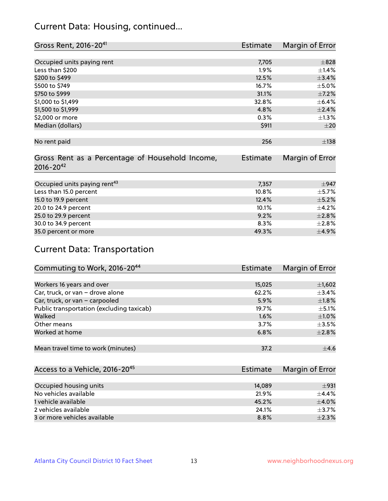## Current Data: Housing, continued...

| Gross Rent, 2016-20 <sup>41</sup>               | <b>Estimate</b> | Margin of Error |
|-------------------------------------------------|-----------------|-----------------|
|                                                 |                 |                 |
| Occupied units paying rent                      | 7,705           | $\pm$ 828       |
| Less than \$200                                 | 1.9%            | $\pm$ 1.4%      |
| \$200 to \$499                                  | 12.5%           | ±3.4%           |
| \$500 to \$749                                  | 16.7%           | $\pm$ 5.0%      |
| \$750 to \$999                                  | 31.1%           | $\pm$ 7.2%      |
| \$1,000 to \$1,499                              | 32.8%           | $\pm$ 6.4%      |
| \$1,500 to \$1,999                              | 4.8%            | $\pm 2.4\%$     |
| \$2,000 or more                                 | 0.3%            | $\pm$ 1.3%      |
| Median (dollars)                                | \$911           | $\pm 20$        |
|                                                 |                 |                 |
| No rent paid                                    | 256             | $\pm$ 138       |
|                                                 |                 |                 |
| Gross Rent as a Percentage of Household Income, | <b>Estimate</b> | Margin of Error |
| $2016 - 20^{42}$                                |                 |                 |
|                                                 |                 |                 |
| Occupied units paying rent <sup>43</sup>        | 7,357           | $\pm$ 947       |
| Less than 15.0 percent                          | 10.8%           | $\pm$ 5.7%      |
| 15.0 to 19.9 percent                            | 12.4%           | $\pm$ 5.2%      |
| 20.0 to 24.9 percent                            | 10.1%           | $\pm$ 4.2%      |
| 25.0 to 29.9 percent                            | 9.2%            | $\pm 2.8\%$     |
| 30.0 to 34.9 percent                            | 8.3%            | $\pm 2.8\%$     |
| 35.0 percent or more                            | 49.3%           | $\pm$ 4.9%      |

## Current Data: Transportation

| Commuting to Work, 2016-20 <sup>44</sup>  | Estimate | Margin of Error |
|-------------------------------------------|----------|-----------------|
|                                           |          |                 |
| Workers 16 years and over                 | 15,025   | $\pm$ 1,602     |
| Car, truck, or van - drove alone          | 62.2%    | $\pm$ 3.4%      |
| Car, truck, or van - carpooled            | 5.9%     | $\pm1.8\%$      |
| Public transportation (excluding taxicab) | 19.7%    | $\pm$ 5.1%      |
| Walked                                    | 1.6%     | $\pm1.0\%$      |
| Other means                               | 3.7%     | $\pm$ 3.5%      |
| Worked at home                            | 6.8%     | $\pm 2.8\%$     |
|                                           |          |                 |
| Mean travel time to work (minutes)        | 37.2     | ±4.6            |

| Access to a Vehicle, 2016-20 <sup>45</sup> | Estimate | Margin of Error |
|--------------------------------------------|----------|-----------------|
|                                            |          |                 |
| Occupied housing units                     | 14.089   | ±931            |
| No vehicles available                      | 21.9%    | $+4.4%$         |
| 1 vehicle available                        | 45.2%    | $\pm$ 4.0%      |
| 2 vehicles available                       | 24.1%    | $+3.7%$         |
| 3 or more vehicles available               | 8.8%     | $+2.3%$         |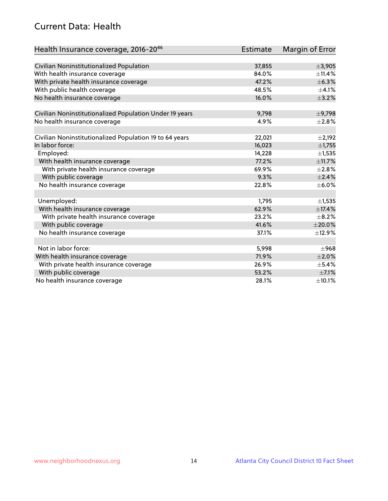## Current Data: Health

| Health Insurance coverage, 2016-2046                    | <b>Estimate</b> | Margin of Error |
|---------------------------------------------------------|-----------------|-----------------|
|                                                         |                 |                 |
| Civilian Noninstitutionalized Population                | 37,855          | ±3,905          |
| With health insurance coverage                          | 84.0%           | ±11.4%          |
| With private health insurance coverage                  | 47.2%           | ±6.3%           |
| With public health coverage                             | 48.5%           | $\pm 4.1\%$     |
| No health insurance coverage                            | 16.0%           | $\pm$ 3.2%      |
| Civilian Noninstitutionalized Population Under 19 years | 9,798           | $\pm$ 9,798     |
| No health insurance coverage                            | 4.9%            | $\pm 2.8\%$     |
|                                                         |                 |                 |
| Civilian Noninstitutionalized Population 19 to 64 years | 22,021          | $\pm$ 2,192     |
| In labor force:                                         | 16,023          | ±1,755          |
| Employed:                                               | 14,228          | $\pm$ 1,535     |
| With health insurance coverage                          | 77.2%           | ±11.7%          |
| With private health insurance coverage                  | 69.9%           | $\pm 2.8\%$     |
| With public coverage                                    | 9.3%            | ±2.4%           |
| No health insurance coverage                            | 22.8%           | $\pm$ 6.0%      |
|                                                         |                 |                 |
| Unemployed:                                             | 1,795           | $\pm$ 1,535     |
| With health insurance coverage                          | 62.9%           | ±17.4%          |
| With private health insurance coverage                  | 23.2%           | $\pm$ 8.2%      |
| With public coverage                                    | 41.6%           | $\pm 20.0\%$    |
| No health insurance coverage                            | 37.1%           | ±12.9%          |
|                                                         |                 |                 |
| Not in labor force:                                     | 5,998           | $\pm$ 968       |
| With health insurance coverage                          | 71.9%           | $\pm 2.0\%$     |
| With private health insurance coverage                  | 26.9%           | $\pm$ 5.4%      |
| With public coverage                                    | 53.2%           | $\pm$ 7.1%      |
| No health insurance coverage                            | 28.1%           | ±10.1%          |